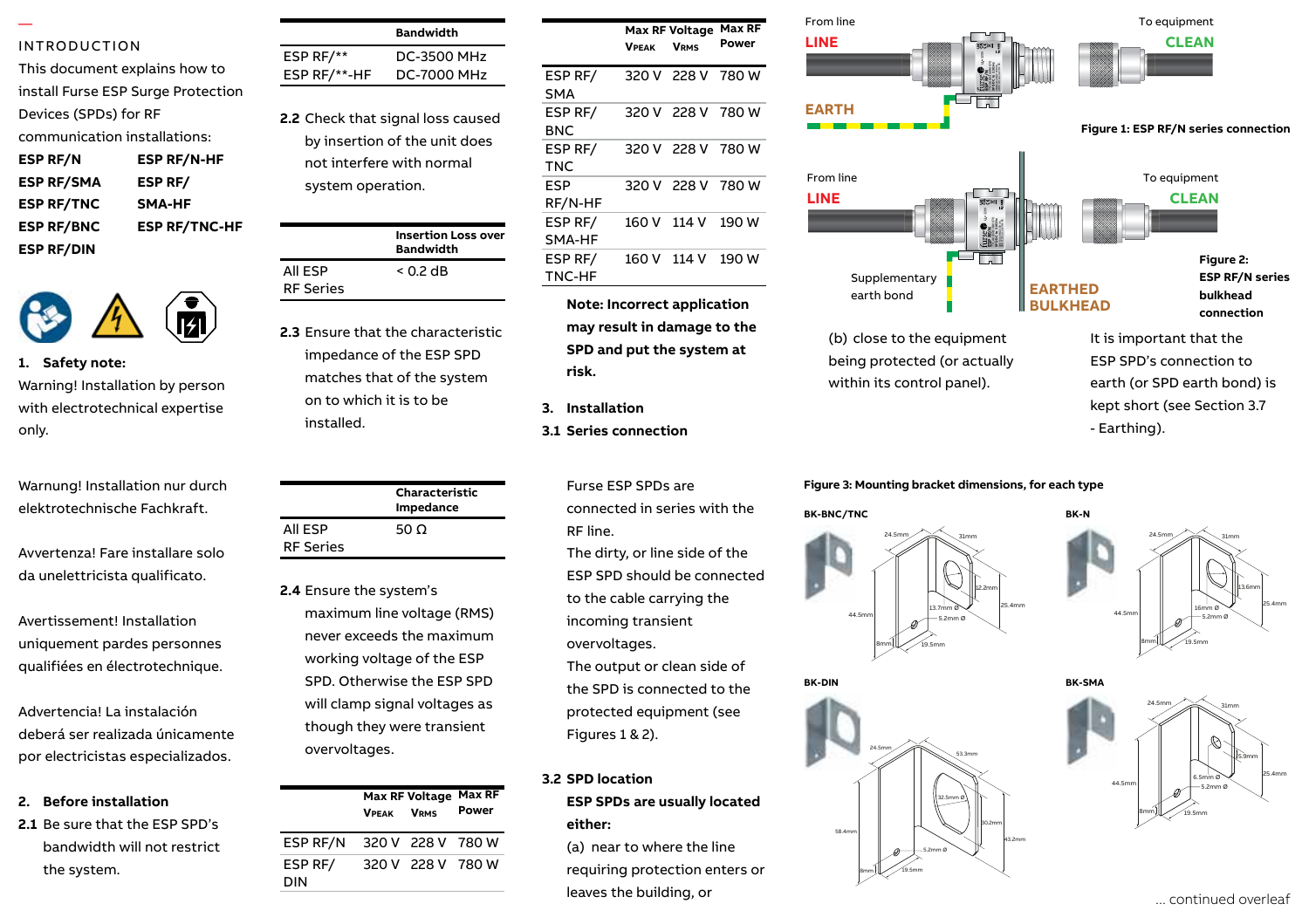#### — INTRODUCTION

| This document explains how to      |                      |  |
|------------------------------------|----------------------|--|
| install Furse ESP Surge Protection |                      |  |
| Devices (SPDs) for RF              |                      |  |
| communication installations:       |                      |  |
| <b>ESP RF/N</b>                    | <b>ESP RF/N-HF</b>   |  |
| <b>ESP RF/SMA</b>                  | <b>ESP RF/</b>       |  |
| <b>ESP RF/TNC</b>                  | <b>SMA-HF</b>        |  |
| <b>ESP RF/BNC</b>                  | <b>ESP RF/TNC-HF</b> |  |
| <b>ESP RF/DIN</b>                  |                      |  |



**1. Safety note:** Safety note: Warning! Installation by person Warning! Installation by person with with electrotechnical expertise only.

Warnung! Installation nur durch elektrotechnische Fachkraft.

Avvertenza! Fare installare solo da unelettricista qualificato.

Avertissement! Installation uniquement pardes personnes qualifiées en électrotechnique. Always handle cables by their insulation.

Advertencia! La instalación deberá ser realizada únicamente por electricistas especializados.

### 2. **Before installation**

2.1 Be sure that the ESP SPD's bandwidth will not restrict the system.

|              | <b>Bandwidth</b>   |
|--------------|--------------------|
| ESP RF/**    | <b>DC-3500 MHz</b> |
| ESP RF/**-HF | <b>DC-7000 MHz</b> |

**2.2** Check that signal loss caused by insertion of the unit does not interfere with normal system operation.

| F |                  | <b>Insertion Loss over</b><br><b>Bandwidth</b> |
|---|------------------|------------------------------------------------|
|   | All ESP          | $< 0.2$ dB                                     |
|   | <b>RF Series</b> |                                                |

**2.3** Ensure that the characteristic impedance of the ESP SPD matches that of the system materies that of the sy<br>on to which it is to be installed. 1.5 Units installed at power distribution of  $\frac{1}{2}$  on to which it is to  $\frac{1}{2}$ 

|                  | Characteristic<br>Impedance |
|------------------|-----------------------------|
| All ESP          | 50 $\Omega$                 |
| <b>RF Series</b> |                             |

**2.4** Ensure the system's maximum line voltage (RMS) never exceeds the maximum working voltage of the ESP SPD. Otherwise the ESP SPD will clamp signal voltages as though they were transient overvoltages. and display. 2.9Nm, wire stripping length 17mm.

|                | <b>VPFAK</b> | <b>Max RF Voltage</b><br><b>V<sub>PMS</sub></b> | <b>Max RF</b><br>Power |
|----------------|--------------|-------------------------------------------------|------------------------|
| ESP RF/N       |              | 320 V 228 V 780 W                               |                        |
| ESP RF/<br>DIN |              | 320 V 228 V 780 W                               |                        |

|                            | <b>VPEAK</b> | <b>Max RF Voltage</b><br><b>VRMS</b> | Max RF<br>Power |
|----------------------------|--------------|--------------------------------------|-----------------|
| ESP RF/<br><b>SMA</b>      |              | 320 V 228 V 780 W                    |                 |
| ESP <sub>RF</sub> /<br>BNC |              | 320 V 228 V 780 W                    |                 |
| ESP RF/<br><b>TNC</b>      |              | 320 V 228 V 780 W                    |                 |
| ESP<br>RF/N-HF             |              | 320 V 228 V 780 W                    |                 |
| ESP RF/<br>SMA-HF          |              | 160 V 114 V                          | 190 W           |
| ESP RF/<br>TNC-HF          |              | 160 V 114 V                          | 190 W           |

**Note: Incorrect application may result in damage to the SPD and put the system at risk.**

- **3. Installation**
- **3.1 Series connection**

Furse ESP SPDs are connected in series with the RF line.

The dirty, or line side of the ESP SPD should be connected to the cable carrying the incoming transient overvoltages.

The output or clean side of the SPD is connected to the protected equipment (see Figures 1 & 2).

# **3.2 SPD location**

**ESP SPDs are usually located either:**

(a) near to where the line requiring protection enters or leaves the building, or



**BK-SMA**

#### **Figure 3: Mounting bracket dimensions, for each type**







6.5mm Ø 5.9mm 44.5mm 8mm  $24.5$ mm  $\bigtimes$  31mm 25.4mm 19.5mm 5.2mm Ø